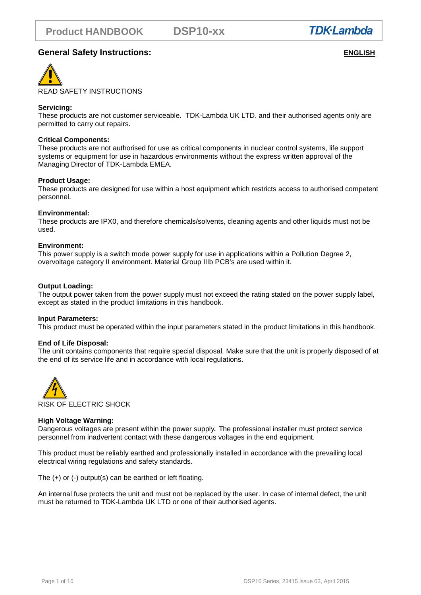

# **General Safety Instructions:** *ENGLISH*



### **Servicing:**

These products are not customer serviceable. TDK-Lambda UK LTD. and their authorised agents only are permitted to carry out repairs.

### **Critical Components:**

These products are not authorised for use as critical components in nuclear control systems, life support systems or equipment for use in hazardous environments without the express written approval of the Managing Director of TDK-Lambda EMEA.

### **Product Usage:**

These products are designed for use within a host equipment which restricts access to authorised competent personnel.

### **Environmental:**

These products are IPX0, and therefore chemicals/solvents, cleaning agents and other liquids must not be used.

### **Environment:**

This power supply is a switch mode power supply for use in applications within a Pollution Degree 2, overvoltage category II environment. Material Group IIIb PCB's are used within it.

### **Output Loading:**

The output power taken from the power supply must not exceed the rating stated on the power supply label, except as stated in the product limitations in this handbook.

### **Input Parameters:**

This product must be operated within the input parameters stated in the product limitations in this handbook.

### **End of Life Disposal:**

The unit contains components that require special disposal. Make sure that the unit is properly disposed of at the end of its service life and in accordance with local regulations.



### **High Voltage Warning:**

Dangerous voltages are present within the power supply**.** The professional installer must protect service personnel from inadvertent contact with these dangerous voltages in the end equipment.

This product must be reliably earthed and professionally installed in accordance with the prevailing local electrical wiring regulations and safety standards.

The (+) or (-) output(s) can be earthed or left floating.

An internal fuse protects the unit and must not be replaced by the user. In case of internal defect, the unit must be returned to TDK-Lambda UK LTD or one of their authorised agents.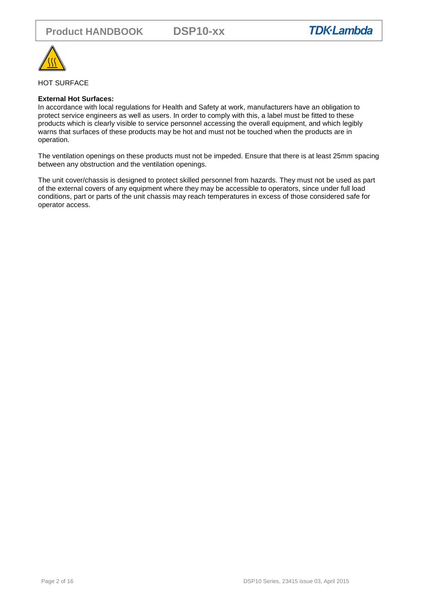

### HOT SURFACE

### **External Hot Surfaces:**

In accordance with local regulations for Health and Safety at work, manufacturers have an obligation to protect service engineers as well as users. In order to comply with this, a label must be fitted to these products which is clearly visible to service personnel accessing the overall equipment, and which legibly warns that surfaces of these products may be hot and must not be touched when the products are in operation.

The ventilation openings on these products must not be impeded. Ensure that there is at least 25mm spacing between any obstruction and the ventilation openings.

The unit cover/chassis is designed to protect skilled personnel from hazards. They must not be used as part of the external covers of any equipment where they may be accessible to operators, since under full load conditions, part or parts of the unit chassis may reach temperatures in excess of those considered safe for operator access.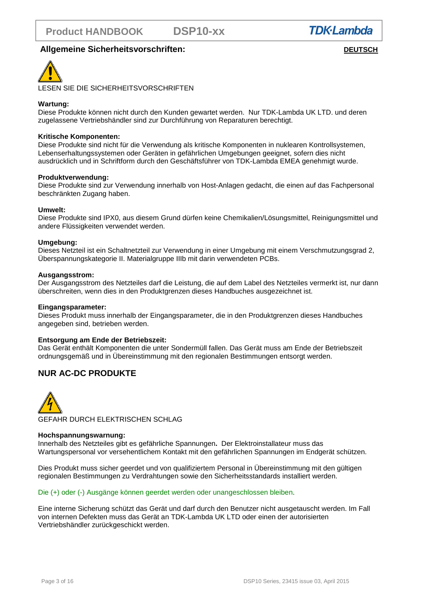**DSP10-xx** 



# **Allgemeine Sicherheitsvorschriften: DEUTSCH**



LESEN SIE DIE SICHERHEITSVORSCHRIFTEN

### **Wartung:**

Diese Produkte können nicht durch den Kunden gewartet werden. Nur TDK-Lambda UK LTD. und deren zugelassene Vertriebshändler sind zur Durchführung von Reparaturen berechtigt.

### **Kritische Komponenten:**

Diese Produkte sind nicht für die Verwendung als kritische Komponenten in nuklearen Kontrollsystemen, Lebenserhaltungssystemen oder Geräten in gefährlichen Umgebungen geeignet, sofern dies nicht ausdrücklich und in Schriftform durch den Geschäftsführer von TDK-Lambda EMEA genehmigt wurde.

### **Produktverwendung:**

Diese Produkte sind zur Verwendung innerhalb von Host-Anlagen gedacht, die einen auf das Fachpersonal beschränkten Zugang haben.

### **Umwelt:**

Diese Produkte sind IPX0, aus diesem Grund dürfen keine Chemikalien/Lösungsmittel, Reinigungsmittel und andere Flüssigkeiten verwendet werden.

### **Umgebung:**

Dieses Netzteil ist ein Schaltnetzteil zur Verwendung in einer Umgebung mit einem Verschmutzungsgrad 2, Überspannungskategorie II. Materialgruppe IIIb mit darin verwendeten PCBs.

### **Ausgangsstrom:**

Der Ausgangsstrom des Netzteiles darf die Leistung, die auf dem Label des Netzteiles vermerkt ist, nur dann überschreiten, wenn dies in den Produktgrenzen dieses Handbuches ausgezeichnet ist.

### **Eingangsparameter:**

Dieses Produkt muss innerhalb der Eingangsparameter, die in den Produktgrenzen dieses Handbuches angegeben sind, betrieben werden.

### **Entsorgung am Ende der Betriebszeit:**

Das Gerät enthält Komponenten die unter Sondermüll fallen. Das Gerät muss am Ende der Betriebszeit ordnungsgemäß und in Übereinstimmung mit den regionalen Bestimmungen entsorgt werden.

# **NUR AC-DC PRODUKTE**



GEFAHR DURCH ELEKTRISCHEN SCHLAG

### **Hochspannungswarnung:**

Innerhalb des Netzteiles gibt es gefährliche Spannungen**.** Der Elektroinstallateur muss das Wartungspersonal vor versehentlichem Kontakt mit den gefährlichen Spannungen im Endgerät schützen.

Dies Produkt muss sicher geerdet und von qualifiziertem Personal in Übereinstimmung mit den gültigen regionalen Bestimmungen zu Verdrahtungen sowie den Sicherheitsstandards installiert werden.

### Die (+) oder (-) Ausgänge können geerdet werden oder unangeschlossen bleiben.

Eine interne Sicherung schützt das Gerät und darf durch den Benutzer nicht ausgetauscht werden. Im Fall von internen Defekten muss das Gerät an TDK-Lambda UK LTD oder einen der autorisierten Vertriebshändler zurückgeschickt werden.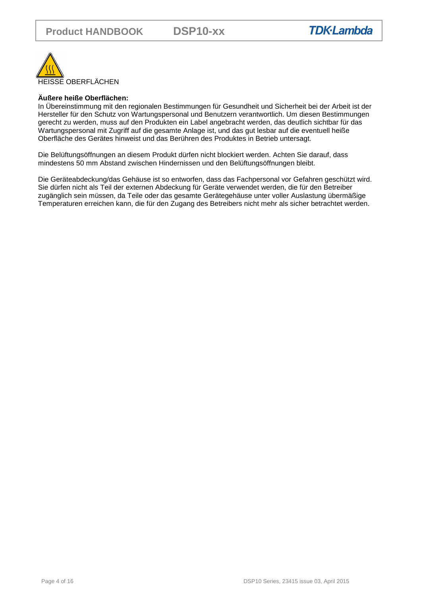

## **Äußere heiße Oberflächen:**

In Übereinstimmung mit den regionalen Bestimmungen für Gesundheit und Sicherheit bei der Arbeit ist der Hersteller für den Schutz von Wartungspersonal und Benutzern verantwortlich. Um diesen Bestimmungen gerecht zu werden, muss auf den Produkten ein Label angebracht werden, das deutlich sichtbar für das Wartungspersonal mit Zugriff auf die gesamte Anlage ist, und das gut lesbar auf die eventuell heiße Oberfläche des Gerätes hinweist und das Berühren des Produktes in Betrieb untersagt.

Die Belüftungsöffnungen an diesem Produkt dürfen nicht blockiert werden. Achten Sie darauf, dass mindestens 50 mm Abstand zwischen Hindernissen und den Belüftungsöffnungen bleibt.

Die Geräteabdeckung/das Gehäuse ist so entworfen, dass das Fachpersonal vor Gefahren geschützt wird. Sie dürfen nicht als Teil der externen Abdeckung für Geräte verwendet werden, die für den Betreiber zugänglich sein müssen, da Teile oder das gesamte Gerätegehäuse unter voller Auslastung übermäßige Temperaturen erreichen kann, die für den Zugang des Betreibers nicht mehr als sicher betrachtet werden.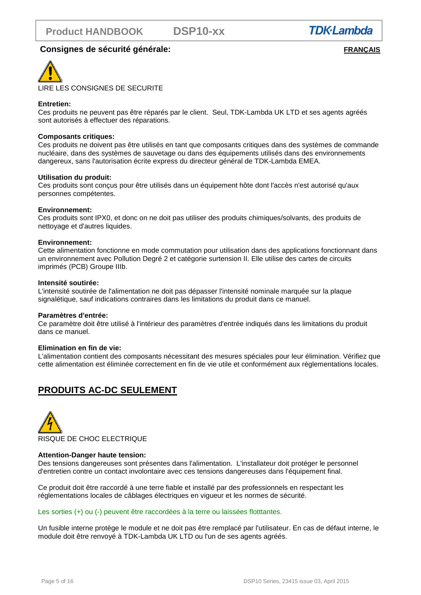**DSP10-xx** 



## **Consignes de sécurité générale:** *FRANÇAIS*



### **Entretien:**

Ces produits ne peuvent pas être réparés par le client. Seul, TDK-Lambda UK LTD et ses agents agréés sont autorisés à effectuer des réparations.

### **Composants critiques:**

Ces produits ne doivent pas être utilisés en tant que composants critiques dans des systèmes de commande nucléaire, dans des systèmes de sauvetage ou dans des équipements utilisés dans des environnements dangereux, sans l'autorisation écrite express du directeur général de TDK-Lambda EMEA.

### **Utilisation du produit:**

Ces produits sont conçus pour être utilisés dans un équipement hôte dont l'accès n'est autorisé qu'aux personnes compétentes.

### **Environnement:**

Ces produits sont IPX0, et donc on ne doit pas utiliser des produits chimiques/solvants, des produits de nettoyage et d'autres liquides.

### **Environnement:**

Cette alimentation fonctionne en mode commutation pour utilisation dans des applications fonctionnant dans un environnement avec Pollution Degré 2 et catégorie surtension II. Elle utilise des cartes de circuits imprimés (PCB) Groupe IIIb.

### **Intensité soutirée:**

L'intensité soutirée de l'alimentation ne doit pas dépasser l'intensité nominale marquée sur la plaque signalétique, sauf indications contraires dans les limitations du produit dans ce manuel.

### **Paramètres d'entrée:**

Ce paramètre doit être utilisé à l'intérieur des paramètres d'entrée indiqués dans les limitations du produit dans ce manuel.

### **Elimination en fin de vie:**

L'alimentation contient des composants nécessitant des mesures spéciales pour leur élimination. Vérifiez que cette alimentation est éliminée correctement en fin de vie utile et conformément aux réglementations locales.

# **PRODUITS AC-DC SEULEMENT**



### **Attention-Danger haute tension:**

Des tensions dangereuses sont présentes dans l'alimentation. L'installateur doit protéger le personnel d'entretien contre un contact involontaire avec ces tensions dangereuses dans l'équipement final.

Ce produit doit être raccordé à une terre fiable et installé par des professionnels en respectant les réglementations locales de câblages électriques en vigueur et les normes de sécurité.

### Les sorties (+) ou (-) peuvent être raccordées à la terre ou laissées flotttantes.

Un fusible interne protège le module et ne doit pas être remplacé par l'utilisateur. En cas de défaut interne, le module doit être renvoyé à TDK-Lambda UK LTD ou l'un de ses agents agréés.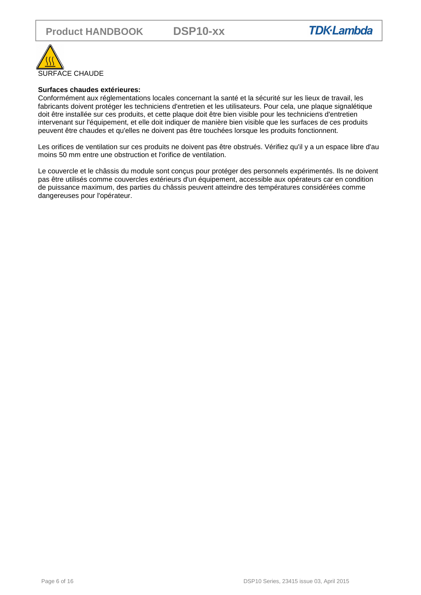

# **Surfaces chaudes extérieures:**

Conformément aux réglementations locales concernant la santé et la sécurité sur les lieux de travail, les fabricants doivent protéger les techniciens d'entretien et les utilisateurs. Pour cela, une plaque signalétique doit être installée sur ces produits, et cette plaque doit être bien visible pour les techniciens d'entretien intervenant sur l'équipement, et elle doit indiquer de manière bien visible que les surfaces de ces produits peuvent être chaudes et qu'elles ne doivent pas être touchées lorsque les produits fonctionnent.

Les orifices de ventilation sur ces produits ne doivent pas être obstrués. Vérifiez qu'il y a un espace libre d'au moins 50 mm entre une obstruction et l'orifice de ventilation.

Le couvercle et le châssis du module sont conçus pour protéger des personnels expérimentés. Ils ne doivent pas être utilisés comme couvercles extérieurs d'un équipement, accessible aux opérateurs car en condition de puissance maximum, des parties du châssis peuvent atteindre des températures considérées comme dangereuses pour l'opérateur.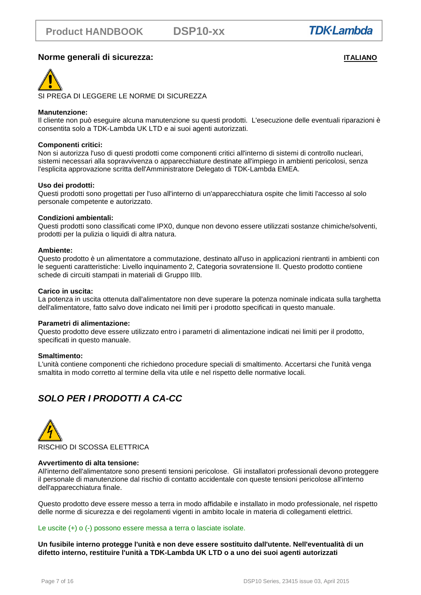# **Norme generali di sicurezza: ITALIANO**



SI PREGA DI LEGGERE LE NORME DI SICUREZZA

### **Manutenzione:**

Il cliente non può eseguire alcuna manutenzione su questi prodotti. L'esecuzione delle eventuali riparazioni è consentita solo a TDK-Lambda UK LTD e ai suoi agenti autorizzati.

### **Componenti critici:**

Non si autorizza l'uso di questi prodotti come componenti critici all'interno di sistemi di controllo nucleari, sistemi necessari alla sopravvivenza o apparecchiature destinate all'impiego in ambienti pericolosi, senza l'esplicita approvazione scritta dell'Amministratore Delegato di TDK-Lambda EMEA.

### **Uso dei prodotti:**

Questi prodotti sono progettati per l'uso all'interno di un'apparecchiatura ospite che limiti l'accesso al solo personale competente e autorizzato.

### **Condizioni ambientali:**

Questi prodotti sono classificati come IPX0, dunque non devono essere utilizzati sostanze chimiche/solventi, prodotti per la pulizia o liquidi di altra natura.

### **Ambiente:**

Questo prodotto è un alimentatore a commutazione, destinato all'uso in applicazioni rientranti in ambienti con le seguenti caratteristiche: Livello inquinamento 2, Categoria sovratensione II. Questo prodotto contiene schede di circuiti stampati in materiali di Gruppo IIIb.

### **Carico in uscita:**

La potenza in uscita ottenuta dall'alimentatore non deve superare la potenza nominale indicata sulla targhetta dell'alimentatore, fatto salvo dove indicato nei limiti per i prodotto specificati in questo manuale.

### **Parametri di alimentazione:**

Questo prodotto deve essere utilizzato entro i parametri di alimentazione indicati nei limiti per il prodotto, specificati in questo manuale.

### **Smaltimento:**

L'unità contiene componenti che richiedono procedure speciali di smaltimento. Accertarsi che l'unità venga smaltita in modo corretto al termine della vita utile e nel rispetto delle normative locali.

# **SOLO PER I PRODOTTI A CA-CC**



### **Avvertimento di alta tensione:**

All'interno dell'alimentatore sono presenti tensioni pericolose. Gli installatori professionali devono proteggere il personale di manutenzione dal rischio di contatto accidentale con queste tensioni pericolose all'interno dell'apparecchiatura finale.

Questo prodotto deve essere messo a terra in modo affidabile e installato in modo professionale, nel rispetto delle norme di sicurezza e dei regolamenti vigenti in ambito locale in materia di collegamenti elettrici.

### Le uscite (+) o (-) possono essere messa a terra o lasciate isolate.

**Un fusibile interno protegge l'unità e non deve essere sostituito dall'utente. Nell'eventualità di un difetto interno, restituire l'unità a TDK-Lambda UK LTD o a uno dei suoi agenti autorizzati**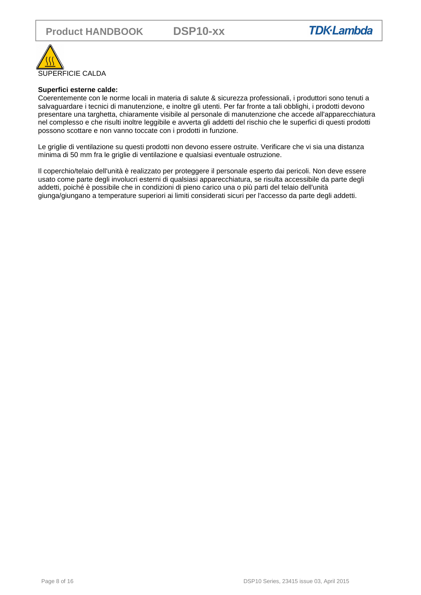

### **Superfici esterne calde:**

Coerentemente con le norme locali in materia di salute & sicurezza professionali, i produttori sono tenuti a salvaguardare i tecnici di manutenzione, e inoltre gli utenti. Per far fronte a tali obblighi, i prodotti devono presentare una targhetta, chiaramente visibile al personale di manutenzione che accede all'apparecchiatura nel complesso e che risulti inoltre leggibile e avverta gli addetti del rischio che le superfici di questi prodotti possono scottare e non vanno toccate con i prodotti in funzione.

Le griglie di ventilazione su questi prodotti non devono essere ostruite. Verificare che vi sia una distanza minima di 50 mm fra le griglie di ventilazione e qualsiasi eventuale ostruzione.

Il coperchio/telaio dell'unità è realizzato per proteggere il personale esperto dai pericoli. Non deve essere usato come parte degli involucri esterni di qualsiasi apparecchiatura, se risulta accessibile da parte degli addetti, poiché è possibile che in condizioni di pieno carico una o più parti del telaio dell'unità giunga/giungano a temperature superiori ai limiti considerati sicuri per l'accesso da parte degli addetti.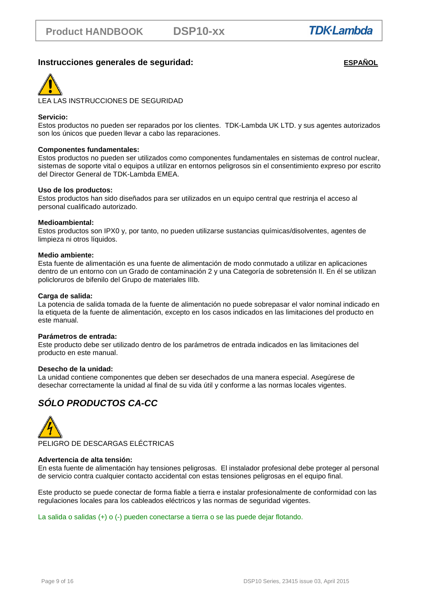## **Instrucciones generales de seguridad: ESPAÑOL**



### **Servicio:**

Estos productos no pueden ser reparados por los clientes. TDK-Lambda UK LTD. y sus agentes autorizados son los únicos que pueden llevar a cabo las reparaciones.

### **Componentes fundamentales:**

Estos productos no pueden ser utilizados como componentes fundamentales en sistemas de control nuclear, sistemas de soporte vital o equipos a utilizar en entornos peligrosos sin el consentimiento expreso por escrito del Director General de TDK-Lambda EMEA.

### **Uso de los productos:**

Estos productos han sido diseñados para ser utilizados en un equipo central que restrinja el acceso al personal cualificado autorizado.

### **Medioambiental:**

Estos productos son IPX0 y, por tanto, no pueden utilizarse sustancias químicas/disolventes, agentes de limpieza ni otros líquidos.

### **Medio ambiente:**

Esta fuente de alimentación es una fuente de alimentación de modo conmutado a utilizar en aplicaciones dentro de un entorno con un Grado de contaminación 2 y una Categoría de sobretensión II. En él se utilizan policloruros de bifenilo del Grupo de materiales IIIb.

### **Carga de salida:**

La potencia de salida tomada de la fuente de alimentación no puede sobrepasar el valor nominal indicado en la etiqueta de la fuente de alimentación, excepto en los casos indicados en las limitaciones del producto en este manual.

### **Parámetros de entrada:**

Este producto debe ser utilizado dentro de los parámetros de entrada indicados en las limitaciones del producto en este manual.

### **Desecho de la unidad:**

La unidad contiene componentes que deben ser desechados de una manera especial. Asegúrese de desechar correctamente la unidad al final de su vida útil y conforme a las normas locales vigentes.

# **SÓLO PRODUCTOS CA-CC**



### **Advertencia de alta tensión:**

En esta fuente de alimentación hay tensiones peligrosas. El instalador profesional debe proteger al personal de servicio contra cualquier contacto accidental con estas tensiones peligrosas en el equipo final.

Este producto se puede conectar de forma fiable a tierra e instalar profesionalmente de conformidad con las regulaciones locales para los cableados eléctricos y las normas de seguridad vigentes.

La salida o salidas (+) o (-) pueden conectarse a tierra o se las puede dejar flotando.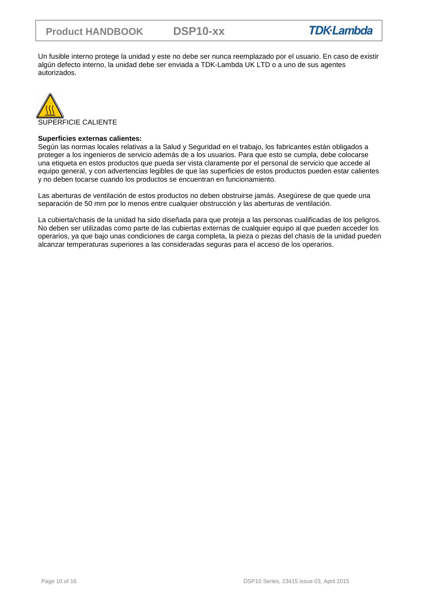Un fusible interno protege la unidad y este no debe ser nunca reemplazado por el usuario. En caso de existir algún defecto interno, la unidad debe ser enviada a TDK-Lambda UK LTD o a uno de sus agentes autorizados.



### **Superficies externas calientes:**

Según las normas locales relativas a la Salud y Seguridad en el trabajo, los fabricantes están obligados a proteger a los ingenieros de servicio además de a los usuarios. Para que esto se cumpla, debe colocarse una etiqueta en estos productos que pueda ser vista claramente por el personal de servicio que accede al equipo general, y con advertencias legibles de que las superficies de estos productos pueden estar calientes y no deben tocarse cuando los productos se encuentran en funcionamiento.

Las aberturas de ventilación de estos productos no deben obstruirse jamás. Asegúrese de que quede una separación de 50 mm por lo menos entre cualquier obstrucción y las aberturas de ventilación.

La cubierta/chasis de la unidad ha sido diseñada para que proteja a las personas cualificadas de los peligros. No deben ser utilizadas como parte de las cubiertas externas de cualquier equipo al que pueden acceder los operarios, ya que bajo unas condiciones de carga completa, la pieza o piezas del chasis de la unidad pueden alcanzar temperaturas superiores a las consideradas seguras para el acceso de los operarios.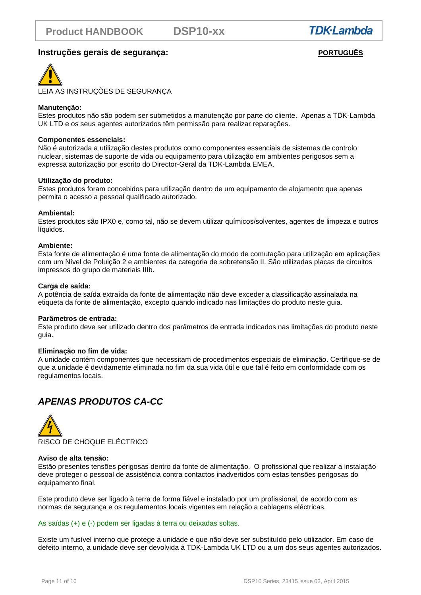# **Instruções gerais de segurança:** *PORTUGUÊS*



LEIA AS INSTRUÇÕES DE SEGURANÇA

### **Manutenção:**

Estes produtos não são podem ser submetidos a manutenção por parte do cliente. Apenas a TDK-Lambda UK LTD e os seus agentes autorizados têm permissão para realizar reparações.

### **Componentes essenciais:**

Não é autorizada a utilização destes produtos como componentes essenciais de sistemas de controlo nuclear, sistemas de suporte de vida ou equipamento para utilização em ambientes perigosos sem a expressa autorização por escrito do Director-Geral da TDK-Lambda EMEA.

### **Utilização do produto:**

Estes produtos foram concebidos para utilização dentro de um equipamento de alojamento que apenas permita o acesso a pessoal qualificado autorizado.

### **Ambiental:**

Estes produtos são IPX0 e, como tal, não se devem utilizar químicos/solventes, agentes de limpeza e outros líquidos.

### **Ambiente:**

Esta fonte de alimentação é uma fonte de alimentação do modo de comutação para utilização em aplicações com um Nível de Poluição 2 e ambientes da categoria de sobretensão II. São utilizadas placas de circuitos impressos do grupo de materiais IIIb.

### **Carga de saída:**

A potência de saída extraída da fonte de alimentação não deve exceder a classificação assinalada na etiqueta da fonte de alimentação, excepto quando indicado nas limitações do produto neste guia.

### **Parâmetros de entrada:**

Este produto deve ser utilizado dentro dos parâmetros de entrada indicados nas limitações do produto neste guia.

### **Eliminação no fim de vida:**

A unidade contém componentes que necessitam de procedimentos especiais de eliminação. Certifique-se de que a unidade é devidamente eliminada no fim da sua vida útil e que tal é feito em conformidade com os regulamentos locais.

# **APENAS PRODUTOS CA-CC**



### **Aviso de alta tensão:**

Estão presentes tensões perigosas dentro da fonte de alimentação. O profissional que realizar a instalação deve proteger o pessoal de assistência contra contactos inadvertidos com estas tensões perigosas do equipamento final.

Este produto deve ser ligado à terra de forma fiável e instalado por um profissional, de acordo com as normas de segurança e os regulamentos locais vigentes em relação a cablagens eléctricas.

### As saídas (+) e (-) podem ser ligadas à terra ou deixadas soltas.

Existe um fusível interno que protege a unidade e que não deve ser substituído pelo utilizador. Em caso de defeito interno, a unidade deve ser devolvida à TDK-Lambda UK LTD ou a um dos seus agentes autorizados.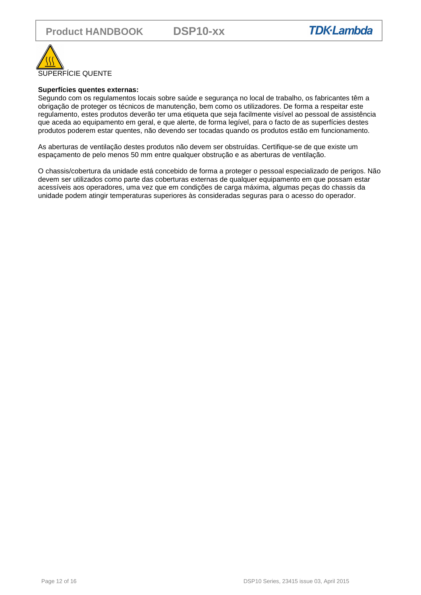

### **Superfícies quentes externas:**

Segundo com os regulamentos locais sobre saúde e segurança no local de trabalho, os fabricantes têm a obrigação de proteger os técnicos de manutenção, bem como os utilizadores. De forma a respeitar este regulamento, estes produtos deverão ter uma etiqueta que seja facilmente visível ao pessoal de assistência que aceda ao equipamento em geral, e que alerte, de forma legível, para o facto de as superfícies destes produtos poderem estar quentes, não devendo ser tocadas quando os produtos estão em funcionamento.

As aberturas de ventilação destes produtos não devem ser obstruídas. Certifique-se de que existe um espaçamento de pelo menos 50 mm entre qualquer obstrução e as aberturas de ventilação.

O chassis/cobertura da unidade está concebido de forma a proteger o pessoal especializado de perigos. Não devem ser utilizados como parte das coberturas externas de qualquer equipamento em que possam estar acessíveis aos operadores, uma vez que em condições de carga máxima, algumas peças do chassis da unidade podem atingir temperaturas superiores às consideradas seguras para o acesso do operador.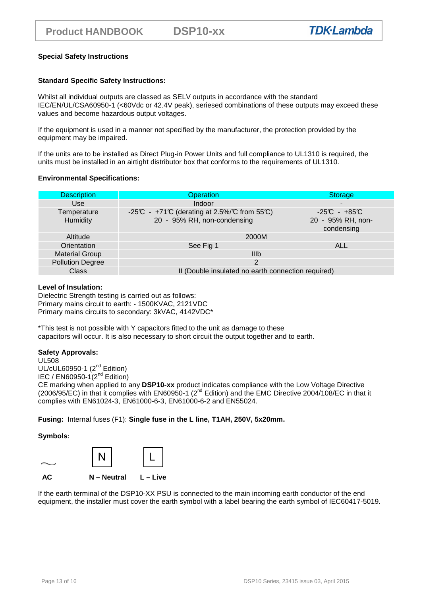### **Special Safety Instructions**

### **Standard Specific Safety Instructions:**

Whilst all individual outputs are classed as SELV outputs in accordance with the standard IEC/EN/UL/CSA60950-1 (<60Vdc or 42.4V peak), seriesed combinations of these outputs may exceed these values and become hazardous output voltages.

If the equipment is used in a manner not specified by the manufacturer, the protection provided by the equipment may be impaired.

If the units are to be installed as Direct Plug-in Power Units and full compliance to UL1310 is required, the units must be installed in an airtight distributor box that conforms to the requirements of UL1310.

### **Environmental Specifications:**

| <b>Description</b>      | <b>Operation</b>                                   | <b>Storage</b>                  |  |
|-------------------------|----------------------------------------------------|---------------------------------|--|
| Use                     | Indoor                                             | $\blacksquare$                  |  |
| Temperature             | -25°C - +71°C (derating at 2.5%/°C from 55°C)      | $-25C - +85C$                   |  |
| Humidity                | 20 - 95% RH, non-condensing                        | 20 - 95% RH, non-<br>condensing |  |
| Altitude                | 2000M                                              |                                 |  |
| Orientation             | See Fig 1                                          | ALL                             |  |
| <b>Material Group</b>   | IIIb                                               |                                 |  |
| <b>Pollution Degree</b> | $\mathcal{P}$                                      |                                 |  |
| Class                   | II (Double insulated no earth connection required) |                                 |  |

### **Level of Insulation:**

Dielectric Strength testing is carried out as follows: Primary mains circuit to earth: - 1500KVAC, 2121VDC Primary mains circuits to secondary: 3kVAC, 4142VDC\*

\*This test is not possible with Y capacitors fitted to the unit as damage to these capacitors will occur. It is also necessary to short circuit the output together and to earth.

### **Safety Approvals:**

UL508 UL/cUL60950-1 (2<sup>nd</sup> Edition)

IEC / EN60950-1 $(2^{nd}$  Edition)

CE marking when applied to any **DSP10-xx** product indicates compliance with the Low Voltage Directive (2006/95/EC) in that it complies with EN60950-1 (2nd Edition) and the EMC Directive 2004/108/EC in that it complies with EN61024-3, EN61000-6-3, EN61000-6-2 and EN55024.

**Fusing:** Internal fuses (F1): **Single fuse in the L line, T1AH, 250V, 5x20mm.** 

### **Symbols:**



If the earth terminal of the DSP10-XX PSU is connected to the main incoming earth conductor of the end equipment, the installer must cover the earth symbol with a label bearing the earth symbol of IEC60417-5019.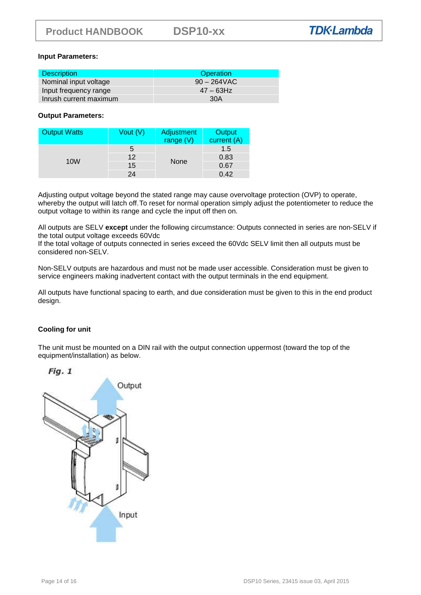### **Input Parameters:**

| <b>Description</b>     | Operation      |
|------------------------|----------------|
| Nominal input voltage  | $90 - 264$ VAC |
| Input frequency range  | $47 - 63$ Hz   |
| Inrush current maximum | 30A            |

### **Output Parameters:**

| <b>Output Watts</b> | Vout $(V)$ | Adjustment<br>range (V) | Output<br>current (A) |
|---------------------|------------|-------------------------|-----------------------|
|                     | b          | <b>None</b>             | 1.5                   |
|                     | 12         |                         | 0.83                  |
| 10 <sub>W</sub>     | 15         |                         | 0.67                  |
|                     | 24         |                         | 0.42                  |

Adjusting output voltage beyond the stated range may cause overvoltage protection (OVP) to operate, whereby the output will latch off. To reset for normal operation simply adjust the potentiometer to reduce the output voltage to within its range and cycle the input off then on.

All outputs are SELV **except** under the following circumstance: Outputs connected in series are non-SELV if the total output voltage exceeds 60Vdc

If the total voltage of outputs connected in series exceed the 60Vdc SELV limit then all outputs must be considered non-SELV.

Non-SELV outputs are hazardous and must not be made user accessible. Consideration must be given to service engineers making inadvertent contact with the output terminals in the end equipment.

All outputs have functional spacing to earth, and due consideration must be given to this in the end product design.

### **Cooling for unit**

The unit must be mounted on a DIN rail with the output connection uppermost (toward the top of the equipment/installation) as below.

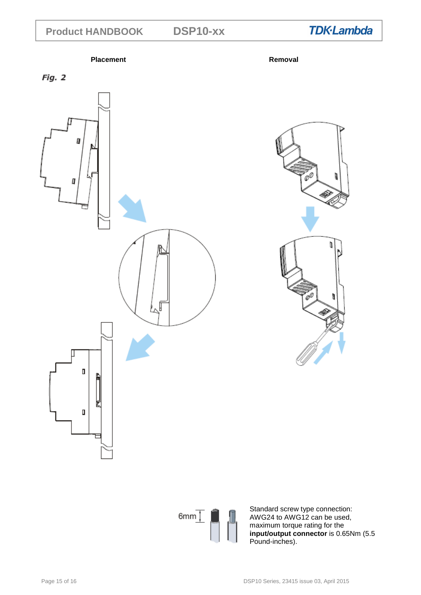**DSP10-xx** 

**Placement Removal** 

**TDK-Lambda** 



T ħ n Z



Standard screw type connection: AWG24 to AWG12 can be used, maximum torque rating for the **input/output connector** is 0.65Nm (5.5 Pound-inches).